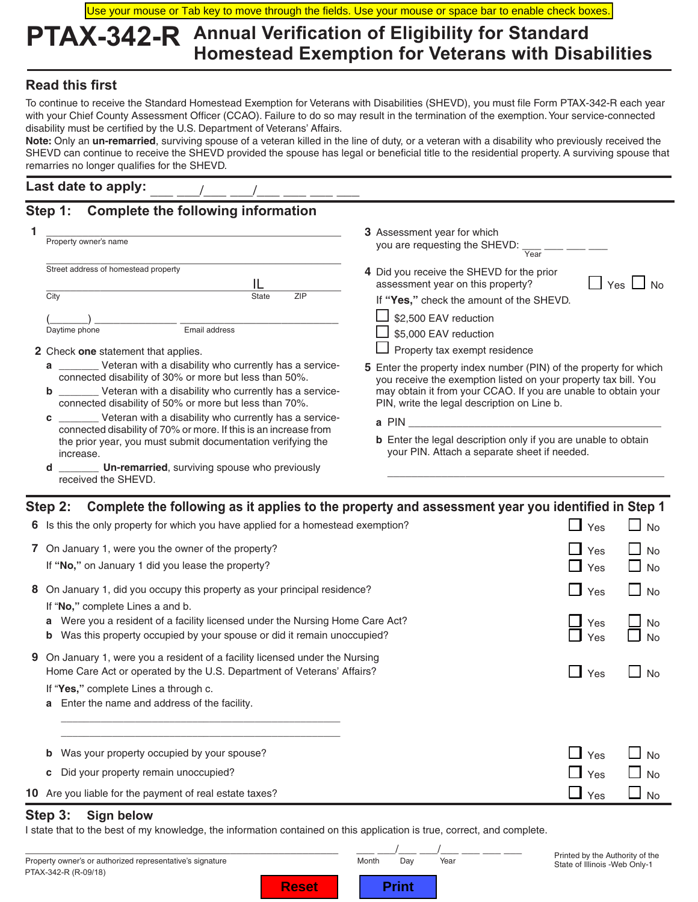Use your mouse or Tab key to move through the fields. Use your mouse or space bar to enable check boxes.

## **PTAX-342-R Annual Verification of Eligibility for Standard Homestead Exemption for Veterans with Disabilities**

### **Read this first**

To continue to receive the Standard Homestead Exemption for Veterans with Disabilities (SHEVD), you must file Form PTAX-342-R each year with your Chief County Assessment Officer (CCAO). Failure to do so may result in the termination of the exemption. Your service-connected disability must be certified by the U.S. Department of Veterans' Affairs.

**Note:** Only an **un-remarried**, surviving spouse of a veteran killed in the line of duty, or a veteran with a disability who previously received the SHEVD can continue to receive the SHEVD provided the spouse has legal or beneficial title to the residential property. A surviving spouse that remarries no longer qualifies for the SHEVD.

#### Last date to apply:

## **Step 1: Complete the following information**

| Property owner's name                                                                                                                                                                                                                                     | <b>3</b> Assessment year for which<br>you are requesting the SHEVD:<br>Year                                                                                                                                                                                  |  |
|-----------------------------------------------------------------------------------------------------------------------------------------------------------------------------------------------------------------------------------------------------------|--------------------------------------------------------------------------------------------------------------------------------------------------------------------------------------------------------------------------------------------------------------|--|
| Street address of homestead property<br>City<br>ZIP<br><b>State</b>                                                                                                                                                                                       | 4 Did you receive the SHEVD for the prior<br>$Yes$ $\vert$ $\vert$<br>assessment year on this property?<br>If "Yes," check the amount of the SHEVD.                                                                                                          |  |
| Email address<br>Daytime phone<br>2 Check one statement that applies.                                                                                                                                                                                     | \$2,500 EAV reduction<br>\$5,000 EAV reduction<br>Property tax exempt residence                                                                                                                                                                              |  |
| Veteran with a disability who currently has a service-<br>a<br>connected disability of 30% or more but less than 50%.<br>__________ Veteran with a disability who currently has a service-<br>b<br>connected disability of 50% or more but less than 70%. | <b>5</b> Enter the property index number (PIN) of the property for which<br>you receive the exemption listed on your property tax bill. You<br>may obtain it from your CCAO. If you are unable to obtain your<br>PIN, write the legal description on Line b. |  |
| __________ Veteran with a disability who currently has a service-<br>c                                                                                                                                                                                    | a PIN<br>the contract of the contract of the contract of the contract of                                                                                                                                                                                     |  |
| connected disability of 70% or more. If this is an increase from<br>the prior year, you must submit documentation verifying the<br>increase.                                                                                                              | <b>b</b> Enter the legal description only if you are unable to obtain<br>your PIN. Attach a separate sheet if needed.                                                                                                                                        |  |
| <b>Un-remarried</b> , surviving spouse who previously<br>d<br>received the SHEVD.                                                                                                                                                                         |                                                                                                                                                                                                                                                              |  |

|    | Complete the following as it applies to the property and assessment year you identified in Step 1<br>Step 2:                                                    |                     |                                        |
|----|-----------------------------------------------------------------------------------------------------------------------------------------------------------------|---------------------|----------------------------------------|
|    | 6 Is this the only property for which you have applied for a homestead exemption?                                                                               | Yes                 | $\Box$ No                              |
|    | 7 On January 1, were you the owner of the property?<br>If "No," on January 1 did you lease the property?                                                        | Yes<br>Yes          | $\Box$ No<br>$\Box$ No                 |
| 8. | On January 1, did you occupy this property as your principal residence?<br>If "No," complete Lines a and b.                                                     | $\mathsf{L}$<br>Yes | $\Box$ No                              |
|    | Were you a resident of a facility licensed under the Nursing Home Care Act?<br>a<br>Was this property occupied by your spouse or did it remain unoccupied?<br>b | Yes<br>Yes          | No<br><b>No</b>                        |
| 9  | On January 1, were you a resident of a facility licensed under the Nursing<br>Home Care Act or operated by the U.S. Department of Veterans' Affairs?            | $\mathsf{L}$<br>Yes | $\Box$ No                              |
|    | If "Yes," complete Lines a through c.<br>Enter the name and address of the facility.<br>a                                                                       |                     |                                        |
|    |                                                                                                                                                                 |                     |                                        |
|    | Was your property occupied by your spouse?<br>b<br>Did your property remain unoccupied?<br>c                                                                    | Yes<br>Yes          | <b>No</b><br>$\mathsf{L}$<br><b>No</b> |
|    | 10 Are you liable for the payment of real estate taxes?                                                                                                         | Yes                 | $\Box$ No                              |
|    |                                                                                                                                                                 |                     |                                        |

#### **Step 3: Sign below**

I state that to the best of my knowledge, the information contained on this application is true, correct, and complete.

PTAX-342-R (R-09/18) \_\_\_\_\_\_\_\_\_\_\_\_\_\_\_\_\_\_\_\_\_\_\_\_\_\_\_\_\_\_\_\_\_\_\_\_\_\_\_\_\_\_\_\_\_\_\_\_\_\_\_\_ \_\_\_ \_\_\_/\_\_\_ \_\_\_/\_\_\_ \_\_\_ \_\_\_ \_\_\_ Property owner's or authorized representative's signature

Printed by the Authority of the State of Illinois -Web Only-1

**Reset** 

| ו וויו | Day | τe |
|--------|-----|----|
|        |     |    |